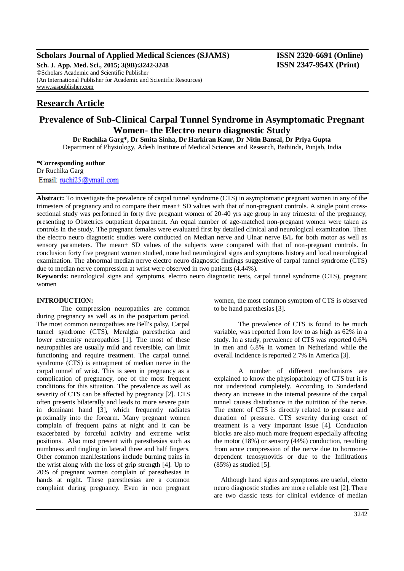# **Scholars Journal of Applied Medical Sciences (SJAMS) ISSN 2320-6691 (Online)**

**Sch. J. App. Med. Sci., 2015; 3(9B):3242-3248 ISSN 2347-954X (Print)** ©Scholars Academic and Scientific Publisher (An International Publisher for Academic and Scientific Resources) [www.saspublisher.com](http://www.saspublisher.com/)

# **Research Article**

# **Prevalence of Sub-Clinical Carpal Tunnel Syndrome in Asymptomatic Pregnant Women- the Electro neuro diagnostic Study**

**Dr Ruchika Garg\*, Dr Smita Sinha, Dr Harkiran Kaur, Dr Nitin Bansal, Dr Priya Gupta** Department of Physiology, Adesh Institute of Medical Sciences and Research, Bathinda, Punjab, India

**\*Corresponding author** Dr Ruchika Garg

Email: ruchi25@ymail.com

**Abstract:** To investigate the prevalence of carpal tunnel syndrome (CTS) in asymptomatic pregnant women in any of the trimesters of pregnancy and to compare their mean± SD values with that of non-pregnant controls. A single point crosssectional study was performed in forty five pregnant women of 20-40 yrs age group in any trimester of the pregnancy, presenting to Obstetrics outpatient department. An equal number of age-matched non-pregnant women were taken as controls in the study. The pregnant females were evaluated first by detailed clinical and neurological examination. Then the electro neuro diagnostic studies were conducted on Median nerve and Ulnar nerve B/L for both motor as well as sensory parameters. The mean± SD values of the subjects were compared with that of non-pregnant controls. In conclusion forty five pregnant women studied, none had neurological signs and symptoms history and local neurological examination. The abnormal median nerve electro neuro diagnostic findings suggestive of carpal tunnel syndrome (CTS) due to median nerve compression at wrist were observed in two patients (4.44%).

**Keywords:** neurological signs and symptoms, electro neuro diagnostic tests, carpal tunnel syndrome (CTS), pregnant women

# **INTRODUCTION:**

The compression neuropathies are common during pregnancy as well as in the postpartum period. The most common neuropathies are Bell's palsy, Carpal tunnel syndrome (CTS), Meralgia paresthetica and lower extremity neuropathies [1]. The most of these neuropathies are usually mild and reversible, can limit functioning and require treatment. The carpal tunnel syndrome (CTS) is entrapment of median nerve in the carpal tunnel of wrist. This is seen in pregnancy as a complication of pregnancy, one of the most frequent conditions for this situation. The prevalence as well as severity of CTS can be affected by pregnancy [2]. CTS often presents bilaterally and leads to more severe pain in dominant hand [3], which frequently radiates proximally into the forearm. Many pregnant women complain of frequent pains at night and it can be exacerbated by forceful activity and extreme wrist positions. Also most present with paresthesias such as numbness and tingling in lateral three and half fingers. Other common manifestations include burning pains in the wrist along with the loss of grip strength [4]. Up to 20% of pregnant women complain of paresthesias in hands at night. These paresthesias are a common complaint during pregnancy. Even in non pregnant

women, the most common symptom of CTS is observed to be hand parethesias [3].

The prevalence of CTS is found to be much variable, was reported from low to as high as 62% in a study. In a study, prevalence of CTS was reported 0.6% in men and 6.8% in women in Netherland while the overall incidence is reported 2.7% in America [3].

A number of different mechanisms are explained to know the physiopathology of CTS but it is not understood completely. According to Sunderland theory an increase in the internal pressure of the carpal tunnel causes disturbance in the nutrition of the nerve. The extent of CTS is directly related to pressure and duration of pressure. CTS severity during onset of treatment is a very important issue [4]. Conduction blocks are also much more frequent especially affecting the motor (18%) or sensory (44%) conduction, resulting from acute compression of the nerve due to hormonedependent tenosynovitis or due to the Infiltrations (85%) as studied [5].

Although hand signs and symptoms are useful, electo neuro diagnostic studies are more reliable test [2]. There are two classic tests for clinical evidence of median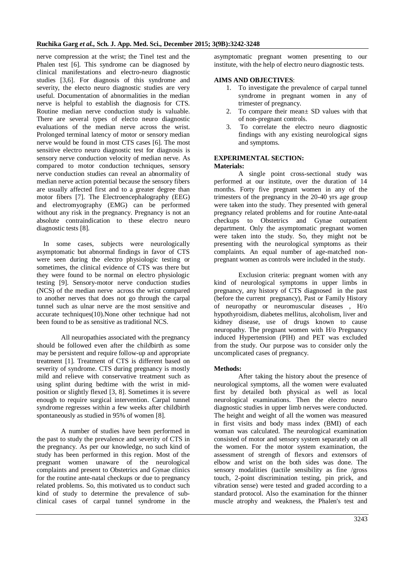nerve compression at the wrist; the Tinel test and the Phalen test [6]. This syndrome can be diagnosed by clinical manifestations and electro-neuro diagnostic studies [3,6]. For diagnosis of this syndrome and severity, the electo neuro diagnostic studies are very useful. Documentation of abnormalities in the median nerve is helpful to establish the diagnosis for CTS. Routine median nerve conduction study is valuable. There are several types of electo neuro diagnostic evaluations of the median nerve across the wrist. Prolonged terminal latency of motor or sensory median nerve would be found in most CTS cases [6]. The most sensitive electro neuro diagnostic test for diagnosis is sensory nerve conduction velocity of median nerve. As compared to motor conduction techniques, sensory nerve conduction studies can reveal an abnormality of median nerve action potential because the sensory fibers are usually affected first and to a greater degree than motor fibers [7]. The Electroencephalography (EEG) and electromyography (EMG) can be performed without any risk in the pregnancy. Pregnancy is not an absolute contraindication to these electro neuro diagnostic tests [8].

In some cases, subjects were neurologically asymptomatic but abnormal findings in favor of CTS were seen during the electro physiologic testing or sometimes, the clinical evidence of CTS was there but they were found to be normal on electro physiologic testing [9]. Sensory-motor nerve conduction studies (NCS) of the median nerve across the wrist compared to another nerves that does not go through the carpal tunnel such as ulnar nerve are the most sensitive and accurate techniques(10).None other technique had not been found to be as sensitive as traditional NCS.

All neuropathies associated with the pregnancy should be followed even after the childbirth as some may be persistent and require follow-up and appropriate treatment [1]. Treatment of CTS is different based on severity of syndrome. CTS during pregnancy is mostly mild and relieve with conservative treatment such as using splint during bedtime with the wrist in midposition or slightly flexed [3, 8]. Sometimes it is severe enough to require surgical intervention. Carpal tunnel syndrome regresses within a few weeks after childbirth spontaneously as studied in 95% of women [8].

A number of studies have been performed in the past to study the prevalence and severity of CTS in the pregnancy. As per our knowledge, no such kind of study has been performed in this region. Most of the pregnant women unaware of the neurological complaints and present to Obstetrics and Gynae clinics for the routine ante-natal checkups or due to pregnancy related problems. So, this motivated us to conduct such kind of study to determine the prevalence of subclinical cases of carpal tunnel syndrome in the asymptomatic pregnant women presenting to our institute, with the help of electro neuro diagnostic tests.

# **AIMS AND OBJECTIVES**:

- 1. To investigate the prevalence of carpal tunnel syndrome in pregnant women in any of trimester of pregnancy.
- 2. To compare their mean± SD values with that of non-pregnant controls.
- 3. To correlate the electro neuro diagnostic findings with any existing neurological signs and symptoms.

# **EXPERIMENTAL SECTION:**

# **Materials:**

A single point cross-sectional study was performed at our institute, over the duration of 14 months. Forty five pregnant women in any of the trimesters of the pregnancy in the 20-40 yrs age group were taken into the study. They presented with general pregnancy related problems and for routine Ante-natal checkups to Obstetrics and Gynae outpatient department. Only the asymptomatic pregnant women were taken into the study. So, they might not be presenting with the neurological symptoms as their complaints. An equal number of age-matched nonpregnant women as controls were included in the study.

Exclusion criteria: pregnant women with any kind of neurological symptoms in upper limbs in pregnancy, any history of CTS diagnosed in the past (before the current pregnancy), Past or Family History of neuropathy or neuromuscular diseases , H/o hypothyroidism, diabetes mellitus, alcoholism, liver and kidney disease, use of drugs known to cause neuropathy. The pregnant women with H/o Pregnancy induced Hypertension (PIH) and PET was excluded from the study. Our purpose was to consider only the uncomplicated cases of pregnancy.

# **Methods:**

After taking the history about the presence of neurological symptoms, all the women were evaluated first by detailed both physical as well as local neurological examinations. Then the electro neuro diagnostic studies in upper limb nerves were conducted. The height and weight of all the women was measured in first visits and body mass index (BMI) of each woman was calculated. The neurological examination consisted of motor and sensory system separately on all the women. For the motor system examination, the assessment of strength of flexors and extensors of elbow and wrist on the both sides was done. The sensory modalities (tactile sensibility as fine /gross touch, 2-point discrimination testing, pin prick, and vibration sense) were tested and graded according to a standard protocol. Also the examination for the thinner muscle atrophy and weakness, the Phalen's test and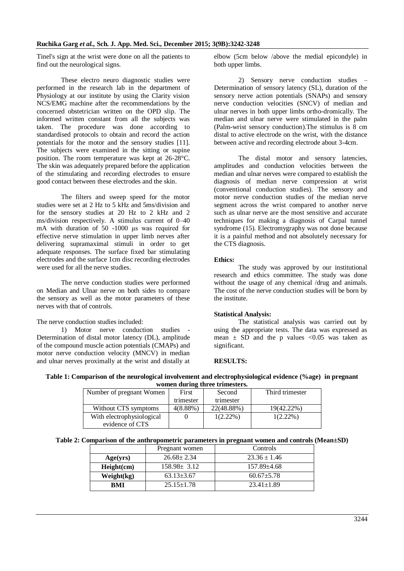Tinel's sign at the wrist were done on all the patients to find out the neurological signs.

These electro neuro diagnostic studies were performed in the research lab in the department of Physiology at our institute by using the Clarity vision NCS/EMG machine after the recommendations by the concerned obstetrician written on the OPD slip. The informed written constant from all the subjects was taken. The procedure was done according to standardised protocols to obtain and record the action potentials for the motor and the sensory studies [11]. The subjects were examined in the sitting or supine position. The room temperature was kept at 26-28°C. The skin was adequately prepared before the application of the stimulating and recording electrodes to ensure good contact between these electrodes and the skin.

The filters and sweep speed for the motor studies were set at 2 Hz to 5 kHz and 5ms/division and for the sensory studies at 20 Hz to 2 kHz and 2 ms/division respectively. A stimulus current of 0–40 mA with duration of 50 -1000 μs was required for effective nerve stimulation in upper limb nerves after delivering supramaximal stimuli in order to get adequate responses. The surface fixed bar stimulating electrodes and the surface 1cm disc recording electrodes were used for all the nerve studies.

The nerve conduction studies were performed on Median and Ulnar nerve on both sides to compare the sensory as well as the motor parameters of these nerves with that of controls.

# The nerve conduction studies included:

1) Motor nerve conduction studies - Determination of distal motor latency (DL), amplitude of the compound muscle action potentials (CMAPs) and motor nerve conduction velocity (MNCV) in median and ulnar nerves proximally at the wrist and distally at elbow (5cm below /above the medial epicondyle) in both upper limbs.

2) Sensory nerve conduction studies – Determination of sensory latency (SL), duration of the sensory nerve action potentials (SNAPs) and sensory nerve conduction velocities (SNCV) of median and ulnar nerves in both upper limbs ortho-dromically. The median and ulnar nerve were stimulated in the palm (Palm-wrist sensory conduction).The stimulus is 8 cm distal to active electrode on the wrist, with the distance between active and recording electrode about 3-4cm.

The distal motor and sensory latencies, amplitudes and conduction velocities between the median and ulnar nerves were compared to establish the diagnosis of median nerve compression at wrist (conventional conduction studies). The sensory and motor nerve conduction studies of the median nerve segment across the wrist compared to another nerve such as ulnar nerve are the most sensitive and accurate techniques for making a diagnosis of Carpal tunnel syndrome (15). Electromygraphy was not done because it is a painful method and not absolutely necessary for the CTS diagnosis.

#### **Ethics:**

The study was approved by our institutional research and ethics committee. The study was done without the usage of any chemical /drug and animals. The cost of the nerve conduction studies will be born by the institute.

# **Statistical Analysis:**

The statistical analysis was carried out by using the appropriate tests. The data was expressed as mean  $\pm$  SD and the p values <0.05 was taken as significant.

#### **RESULTS:**

#### **Table 1: Comparison of the neurological involvement and electrophysiological evidence (%age) in pregnant women during three trimesters.**

| Number of pregnant Women  | First     | Second      | Third trimester |
|---------------------------|-----------|-------------|-----------------|
|                           | trimester | trimester   |                 |
| Without CTS symptoms      | 4(8.88%)  | 22(48.88%)  | 19(42.22%)      |
| With electrophysiological |           | $1(2.22\%)$ | $1(2.22\%)$     |
| evidence of CTS           |           |             |                 |

**Table 2: Comparison of the anthropometric parameters in pregnant women and controls (Mean±SD)**

|            | Pregnant women    | Controls          |  |
|------------|-------------------|-------------------|--|
| Age(yrs)   | $26.68 \pm 2.34$  | $23.36 \pm 1.46$  |  |
| Height(cm) | $158.98 \pm 3.12$ | $157.89 \pm 4.68$ |  |
| Weight(kg) | $63.13 \pm 3.67$  | $60.67 + 5.78$    |  |
| <b>RMI</b> | $25.15 \pm 1.78$  | $23.41 \pm 1.89$  |  |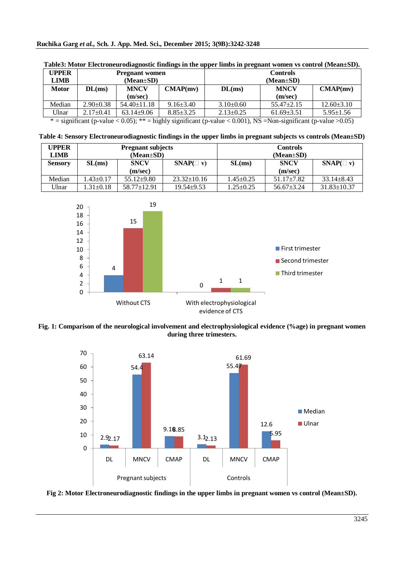| UPPER        | <b>Pregnant</b> women |                   |                 | <b>Controls</b> |                  |                  |
|--------------|-----------------------|-------------------|-----------------|-----------------|------------------|------------------|
| LIMB         | $(Mean \pm SD)$       |                   |                 | $(Mean \pm SD)$ |                  |                  |
| <b>Motor</b> | DL(ms)                | <b>MNCV</b>       | CMAP(mv)        | DL(ms)          | <b>MNCV</b>      | CMAP(mv)         |
|              |                       | (m/sec)           |                 |                 | (m/sec)          |                  |
| Median       | $2.90 \pm 0.38$       | $54.40 \pm 11.18$ | $9.16 \pm 3.40$ | $3.10\pm0.60$   | $55.47 \pm 2.15$ | $12.60 \pm 3.10$ |
| Ulnar        | $2.17+0.41$           | $63.14+9.06$      | $8.85 \pm 3.25$ | $2.13 \pm 0.25$ | $61.69 \pm 3.51$ | $5.95 \pm 1.56$  |

 $*$  = significant (p-value < 0.05); \*\* = highly significant (p-value < 0.001), NS = Non-significant (p-value > 0.05)

| Table 4: Sensory Electroneurodiagnostic findings in the upper limbs in pregnant subjects vs controls (Mean±SD) |  |  |  |
|----------------------------------------------------------------------------------------------------------------|--|--|--|
|----------------------------------------------------------------------------------------------------------------|--|--|--|

| <b>UPPER</b>   | <b>Pregnant subjects</b> |                   |                   | <b>Controls</b> |                  |                   |
|----------------|--------------------------|-------------------|-------------------|-----------------|------------------|-------------------|
| <b>LIMB</b>    | $(Mean \pm SD)$          |                   |                   | $(Mean \pm SD)$ |                  |                   |
| <b>Sensory</b> | SL(ms)                   | <b>SNCV</b>       | $SNAP($ v)        | SL(ms)          | <b>SNCV</b>      | $SNAP(\square$ v) |
|                |                          | (m/sec)           |                   |                 | (m/sec)          |                   |
| Median         | $.43 \pm 0.17$           | $55.12 \pm 9.80$  | $23.32 \pm 10.16$ | $1.45 \pm 0.25$ | $51.17 \pm 7.82$ | $33.14 \pm 8.43$  |
| Ulnar          | $.31 \pm 0.18$           | $58.77 \pm 12.91$ | $19.54 \pm 9.53$  | $1.25 \pm 0.25$ | $56.67 \pm 3.24$ | $31.83 \pm 10.37$ |







**Fig 2: Motor Electroneurodiagnostic findings in the upper limbs in pregnant women vs control (Mean±SD).**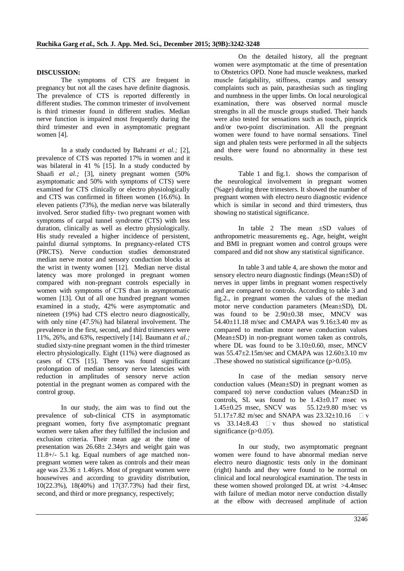# **DISCUSSION:**

The symptoms of CTS are frequent in pregnancy but not all the cases have definite diagnosis. The prevalence of CTS is reported differently in different studies. The common trimester of involvement is third trimester found in different studies. Median nerve function is impaired most frequently during the third trimester and even in asymptomatic pregnant women [4].

In a study conducted by Bahrami *et al.;* [2], prevalence of CTS was reported 17% in women and it was bilateral in 41 % [15]. In a study conducted by Shaafi *et al.*; [3], ninety pregnant women (50%) asymptomatic and 50% with symptoms of CTS) were examined for CTS clinically or electro physiologically and CTS was confirmed in fifteen women (16.6%). In eleven patients (73%), the median nerve was bilaterally involved. Seror studied fifty- two pregnant women with symptoms of carpal tunnel syndrome (CTS) with less duration, clinically as well as electro physiologically. His study revealed a higher incidence of persistent, painful diurnal symptoms. In pregnancy-related CTS (PRCTS). Nerve conduction studies demonstrated median nerve motor and sensory conduction blocks at the wrist in twenty women [12]. Median nerve distal latency was more prolonged in pregnant women compared with non-pregnant controls especially in women with symptoms of CTS than in asymptomatic women [13]. Out of all one hundred pregnant women examined in a study, 42% were asymptomatic and nineteen (19%) had CTS electro neuro diagnostically, with only nine (47.5%) had bilateral involvement. The prevalence in the first, second, and third trimesters were 11%, 26%, and 63%, respectively [14]. Baumann *et al.;* studied sixty-nine pregnant women in the third trimester electro physiologically. Eight (11%) were diagnosed as cases of CTS [15]. There was found significant prolongation of median sensory nerve latencies with reduction in amplitudes of sensory nerve action potential in the pregnant women as compared with the control group.

In our study, the aim was to find out the prevalence of sub-clinical CTS in asymptomatic pregnant women, forty five asymptomatic pregnant women were taken after they fulfilled the inclusion and exclusion criteria. Their mean age at the time of presentation was 26.68± 2.34yrs and weight gain was 11.8+/- 5.1 kg. Equal numbers of age matched nonpregnant women were taken as controls and their mean age was  $23.36 \pm 1.46$ yrs. Most of pregnant women were housewives and according to gravidity distribution, 10(22.3%), 18(40%) and 17(37.73%) had their first, second, and third or more pregnancy, respectively;

On the detailed history, all the pregnant women were asymptomatic at the time of presentation to Obstetrics OPD. None had muscle weakness, marked muscle fatigability, stiffness, cramps and sensory complaints such as pain, parasthesias such as tingling and numbness in the upper limbs. On local neurological examination, there was observed normal muscle strengths in all the muscle groups studied. Their hands were also tested for sensations such as touch, pinprick and/or two-point discrimination. All the pregnant women were found to have normal sensations. Tinel sign and phalen tests were performed in all the subjects and there were found no abnormality in these test results.

Table 1 and fig.1. shows the comparison of the neurological involvement in pregnant women (%age) during three trimesters. It showed the number of pregnant women with electro neuro diagnostic evidence which is similar in second and third trimesters, thus showing no statistical significance.

In table 2 The mean  $\pm SD$  values of anthropometric measurements eg.. Age, height, weight and BMI in pregnant women and control groups were compared and did not show any statistical significance.

In table 3 and table 4, are shown the motor and sensory electro neuro diagnostic findings (Mean±SD) of nerves in upper limbs in pregnant women respectively and are compared to controls. According to table 3 and fig.2., in pregnant women the values of the median motor nerve conduction parameters (Mean±SD), DL was found to be 2.90±0.38 msec, MNCV was 54.40±11.18 m/sec and CMAPA was 9.16±3.40 mv as compared to median motor nerve conduction values (Mean±SD) in non-pregnant women taken as controls, where DL was found to be  $3.10\pm0.60$ , msec, MNCV was 55.47±2.15m/sec and CMAPA was 12.60±3.10 mv .These showed no statistical significance (p>0.05).

In case of the median sensory nerve conduction values (Mean±SD) in pregnant women as compared to) nerve conduction values (Mean±SD in controls, SL was found to be 1.43±0.17 msec vs 1.45±0.25 msec, SNCV was 55.12±9.80 m/sec vs 51.17 $\pm$ 7.82 m/sec and SNAPA was 23.32 $\pm$ 10.16  $\Box$  v vs  $33.14 \pm 8.43$   $\Box$  v thus showed no statistical significance (p>0.05).

In our study, two asymptomatic pregnant women were found to have abnormal median nerve electro neuro diagnostic tests only in the dominant (right) hands and they were found to be normal on clinical and local neurological examination. The tests in these women showed prolonged DL at wrist >4.4msec with failure of median motor nerve conduction distally at the elbow with decreased amplitude of action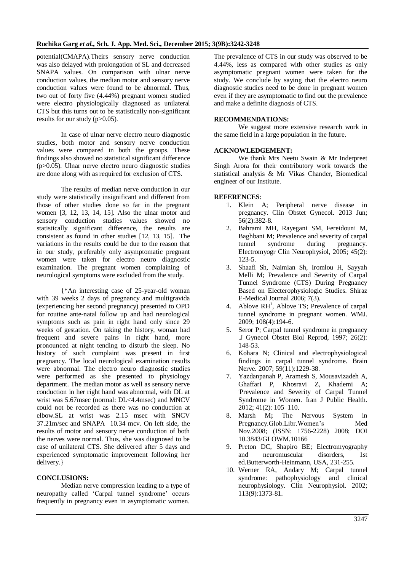potential(CMAPA).Theirs sensory nerve conduction was also delayed with prolongation of SL and decreased SNAPA values. On comparison with ulnar nerve conduction values, the median motor and sensory nerve conduction values were found to be abnormal. Thus, two out of forty five (4.44%) pregnant women studied were electro physiologically diagnosed as unilateral CTS but this turns out to be statistically non-significant results for our study (p>0.05).

In case of ulnar nerve electro neuro diagnostic studies, both motor and sensory nerve conduction values were compared in both the groups. These findings also showed no statistical significant difference (p>0.05). Ulnar nerve electro neuro diagnostic studies are done along with as required for exclusion of CTS.

The results of median nerve conduction in our study were statistically insignificant and different from those of other studies done so far in the pregnant women [3, 12, 13, 14, 15]. Also the ulnar motor and sensory conduction studies values showed no statistically significant difference, the results are consistent as found in other studies [12, 13, 15]. The variations in the results could be due to the reason that in our study, preferably only asymptomatic pregnant women were taken for electro neuro diagnostic examination. The pregnant women complaining of neurological symptoms were excluded from the study.

{\*An interesting case of 25-year-old woman with 39 weeks 2 days of pregnancy and multigravida (experiencing her second pregnancy) presented to OPD for routine ante-natal follow up and had neurological symptoms such as pain in right hand only since 29 weeks of gestation. On taking the history, woman had frequent and severe pains in right hand, more pronounced at night tending to disturb the sleep. No history of such complaint was present in first pregnancy. The local neurological examination results were abnormal. The electro neuro diagnostic studies were performed as she presented to physiology department. The median motor as well as sensory nerve conduction in her right hand was abnormal, with DL at wrist was 5.67msec (normal: DL<4.4msec) and MNCV could not be recorded as there was no conduction at elbow.SL at wrist was 2.15 msec with SNCV 37.21m/sec and SNAPA 10.34 mcv. On left side, the results of motor and sensory nerve conduction of both the nerves were normal. Thus, she was diagnosed to be case of unilateral CTS. She delivered after 5 days and experienced symptomatic improvement following her delivery.}

# **CONCLUSIONS:**

Median nerve compression leading to a type of neuropathy called 'Carpal tunnel syndrome' occurs frequently in pregnancy even in asymptomatic women. The prevalence of CTS in our study was observed to be 4.44%, less as compared with other studies as only asymptomatic pregnant women were taken for the study. We conclude by saying that the electro neuro diagnostic studies need to be done in pregnant women even if they are asymptomatic to find out the prevalence and make a definite diagnosis of CTS.

### **RECOMMENDATIONS:**

We suggest more extensive research work in the same field in a large population in the future.

#### **ACKNOWLEDGEMENT:**

We thank Mrs Neetu Swain & Mr Inderpreet Singh Arora for their contributory work towards the statistical analysis & Mr Vikas Chander, Biomedical engineer of our Institute.

#### **REFERENCES**:

- 1. [Klein A;](http://www.ncbi.nlm.nih.gov/pubmed?term=Klein%20A%5BAuthor%5D&cauthor=true&cauthor_uid=23563878) Peripheral nerve disease in pregnancy. [Clin Obstet Gynecol.](http://www.ncbi.nlm.nih.gov/pubmed/23563878) 2013 Jun; 56(2):382-8.
- 2. Bahrami MH, Rayegani SM, Fereidouni M, Baghbani M; Prevalence and severity of carpal tunnel syndrome during pregnancy. Electromyogr Clin Neurophysiol, 2005; 45(2): 123-5.
- 3. Shaafi Sh, Naimian Sh, Iromlou H, Sayyah Melli M; Prevalence and Severity of Carpal Tunnel Syndrome (CTS) During Pregnancy Based on Electerophysiologic Studies. Shiraz E-Medical Journal 2006; 7(3).
- 4. Ablove  $RH^1$ , [Ablove TS;](http://www.ncbi.nlm.nih.gov/pubmed?term=Ablove%20TS%5BAuthor%5D&cauthor=true&cauthor_uid=19753825) Prevalence of carpal tunnel syndrome in pregnant women. [WMJ.](http://www.ncbi.nlm.nih.gov/pubmed/19753825) 2009; 108(4):194-6.
- 5. Seror P; Carpal tunnel syndrome in pregnancy .J Gynecol Obstet Biol Reprod, 1997; 26(2): 148-53.
- 6. [Kohara N;](http://www.ncbi.nlm.nih.gov/pubmed?term=Kohara%20N%5BAuthor%5D&cauthor=true&cauthor_uid=18044199) Clinical and electrophysiological findings in carpal tunnel syndrome. [Brain](file:///C:\Users\Dell%20Pc\Desktop\NCV\CTS2.html)  [Nerve.](file:///C:\Users\Dell%20Pc\Desktop\NCV\CTS2.html) 2007; 59(11):1229-38.
- 7. Yazdanpanah P, [Aramesh](http://www.ncbi.nlm.nih.gov/pubmed/?term=Aramesh%20S%5Bauth%5D) S, [Mousavizadeh](http://www.ncbi.nlm.nih.gov/pubmed/?term=Mousavizadeh%20A%5Bauth%5D) A, [Ghaffari](http://www.ncbi.nlm.nih.gov/pubmed/?term=Ghaffari%20P%5Bauth%5D) P, [Khosravi](http://www.ncbi.nlm.nih.gov/pubmed/?term=Khosravi%20Z%5Bauth%5D) Z, [Khademi](http://www.ncbi.nlm.nih.gov/pubmed/?term=Khademi%20A%5Bauth%5D) A; . Prevalence and Severity of Carpal Tunnel Syndrome in Women. Iran J Public Health. 2012; 41(2): 105–110.
- 8. Marsh M**;** The Nervous System in Pregnancy.Glob.Libr.Women's Med Nov.2008; (ISSN: 1756-2228) 2008; DOI 10.3843/GLOWM.10166
- 9. Preton DC, Shapiro BE; Electromyography and neuromuscular disorders, 1st ed.Butterworth-Heinmann, USA, 231-255.
- 10. [Werner RA,](http://www.ncbi.nlm.nih.gov/pubmed?term=Werner%20RA%5BAuthor%5D&cauthor=true&cauthor_uid=12169318) [Andary M;](http://www.ncbi.nlm.nih.gov/pubmed?term=Andary%20M%5BAuthor%5D&cauthor=true&cauthor_uid=12169318) Carpal tunnel syndrome: pathophysiology and clinical neurophysiology. [Clin Neurophysiol.](file:///C:\Users\Dell%20Pc\Desktop\NCV\CTS%203.html) 2002; 113(9):1373-81.